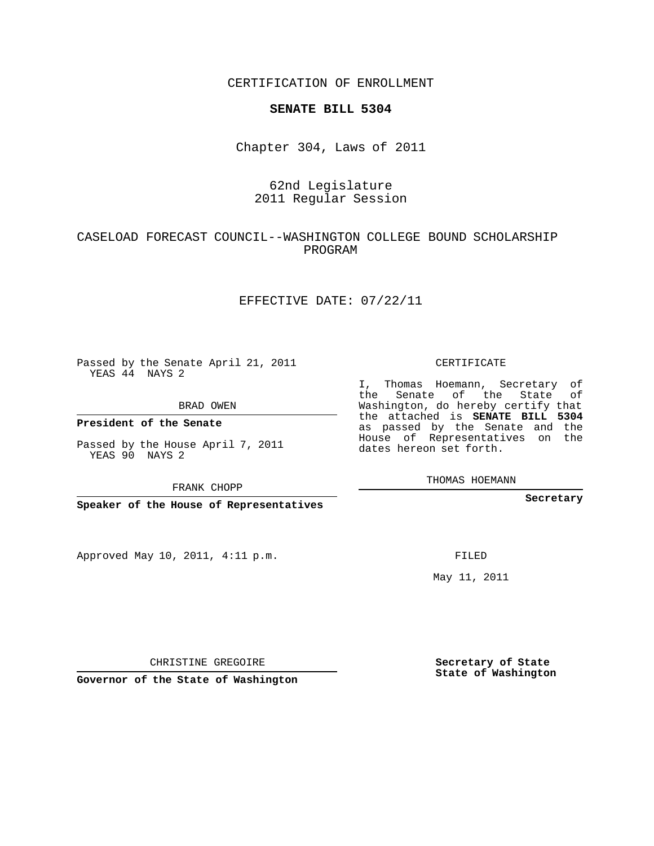CERTIFICATION OF ENROLLMENT

#### **SENATE BILL 5304**

Chapter 304, Laws of 2011

# 62nd Legislature 2011 Regular Session

# CASELOAD FORECAST COUNCIL--WASHINGTON COLLEGE BOUND SCHOLARSHIP PROGRAM

## EFFECTIVE DATE: 07/22/11

Passed by the Senate April 21, 2011 YEAS 44 NAYS 2

BRAD OWEN

**President of the Senate**

Passed by the House April 7, 2011 YEAS 90 NAYS 2

FRANK CHOPP

**Speaker of the House of Representatives**

Approved May 10, 2011, 4:11 p.m.

CERTIFICATE

I, Thomas Hoemann, Secretary of the Senate of the State of Washington, do hereby certify that the attached is **SENATE BILL 5304** as passed by the Senate and the House of Representatives on the dates hereon set forth.

THOMAS HOEMANN

**Secretary**

FILED

May 11, 2011

CHRISTINE GREGOIRE

**Governor of the State of Washington**

**Secretary of State State of Washington**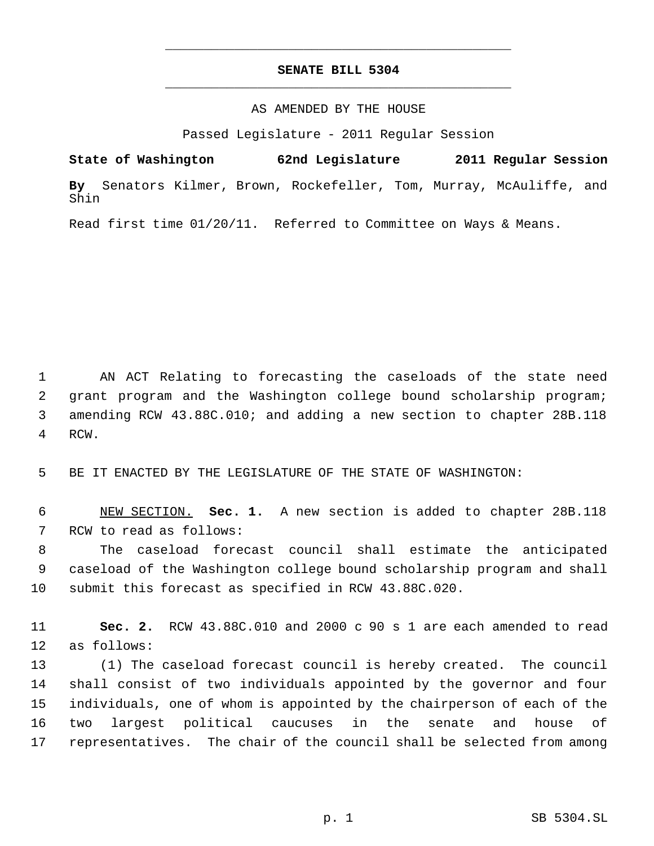# **SENATE BILL 5304** \_\_\_\_\_\_\_\_\_\_\_\_\_\_\_\_\_\_\_\_\_\_\_\_\_\_\_\_\_\_\_\_\_\_\_\_\_\_\_\_\_\_\_\_\_

\_\_\_\_\_\_\_\_\_\_\_\_\_\_\_\_\_\_\_\_\_\_\_\_\_\_\_\_\_\_\_\_\_\_\_\_\_\_\_\_\_\_\_\_\_

### AS AMENDED BY THE HOUSE

Passed Legislature - 2011 Regular Session

**State of Washington 62nd Legislature 2011 Regular Session By** Senators Kilmer, Brown, Rockefeller, Tom, Murray, McAuliffe, and Shin

Read first time 01/20/11. Referred to Committee on Ways & Means.

 AN ACT Relating to forecasting the caseloads of the state need grant program and the Washington college bound scholarship program; amending RCW 43.88C.010; and adding a new section to chapter 28B.118 RCW.

BE IT ENACTED BY THE LEGISLATURE OF THE STATE OF WASHINGTON:

 NEW SECTION. **Sec. 1.** A new section is added to chapter 28B.118 RCW to read as follows:

 The caseload forecast council shall estimate the anticipated caseload of the Washington college bound scholarship program and shall submit this forecast as specified in RCW 43.88C.020.

 **Sec. 2.** RCW 43.88C.010 and 2000 c 90 s 1 are each amended to read as follows:

 (1) The caseload forecast council is hereby created. The council shall consist of two individuals appointed by the governor and four individuals, one of whom is appointed by the chairperson of each of the two largest political caucuses in the senate and house of representatives. The chair of the council shall be selected from among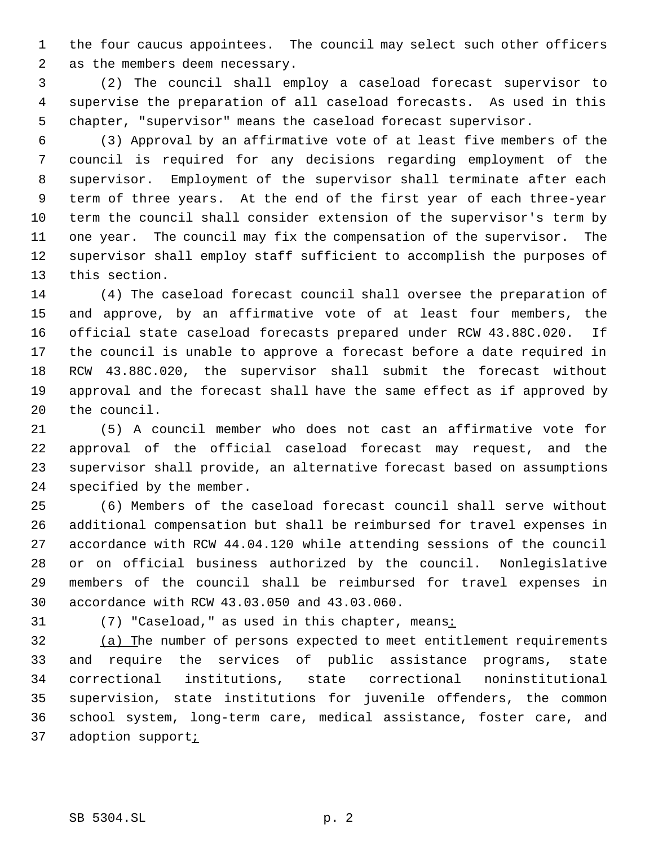the four caucus appointees. The council may select such other officers as the members deem necessary.

 (2) The council shall employ a caseload forecast supervisor to supervise the preparation of all caseload forecasts. As used in this chapter, "supervisor" means the caseload forecast supervisor.

 (3) Approval by an affirmative vote of at least five members of the council is required for any decisions regarding employment of the supervisor. Employment of the supervisor shall terminate after each term of three years. At the end of the first year of each three-year term the council shall consider extension of the supervisor's term by one year. The council may fix the compensation of the supervisor. The supervisor shall employ staff sufficient to accomplish the purposes of this section.

 (4) The caseload forecast council shall oversee the preparation of and approve, by an affirmative vote of at least four members, the official state caseload forecasts prepared under RCW 43.88C.020. If the council is unable to approve a forecast before a date required in RCW 43.88C.020, the supervisor shall submit the forecast without approval and the forecast shall have the same effect as if approved by the council.

 (5) A council member who does not cast an affirmative vote for approval of the official caseload forecast may request, and the supervisor shall provide, an alternative forecast based on assumptions specified by the member.

 (6) Members of the caseload forecast council shall serve without additional compensation but shall be reimbursed for travel expenses in accordance with RCW 44.04.120 while attending sessions of the council or on official business authorized by the council. Nonlegislative members of the council shall be reimbursed for travel expenses in accordance with RCW 43.03.050 and 43.03.060.

31 (7) "Caseload," as used in this chapter, means:

 (a) The number of persons expected to meet entitlement requirements and require the services of public assistance programs, state correctional institutions, state correctional noninstitutional supervision, state institutions for juvenile offenders, the common school system, long-term care, medical assistance, foster care, and 37 adoption support<sub>i</sub>